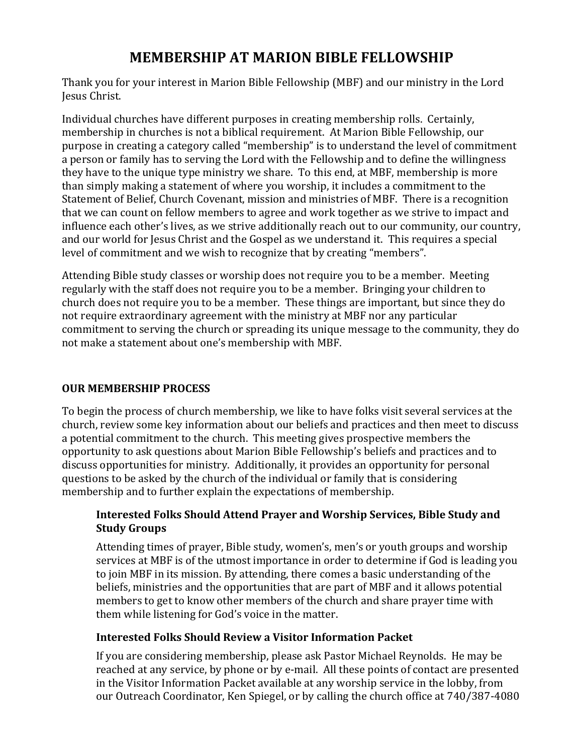# **MEMBERSHIP)AT)MARION BIBLE)FELLOWSHIP**

Thank you for your interest in Marion Bible Fellowship (MBF) and our ministry in the Lord Jesus Christ.

Individual churches have different purposes in creating membership rolls. Certainly, membership in churches is not a biblical requirement. At Marion Bible Fellowship, our purpose in creating a category called "membership" is to understand the level of commitment a person or family has to serving the Lord with the Fellowship and to define the willingness they have to the unique type ministry we share. To this end, at MBF, membership is more than simply making a statement of where you worship, it includes a commitment to the Statement of Belief, Church Covenant, mission and ministries of MBF. There is a recognition that we can count on fellow members to agree and work together as we strive to impact and influence each other's lives, as we strive additionally reach out to our community, our country, and our world for Jesus Christ and the Gospel as we understand it. This requires a special level of commitment and we wish to recognize that by creating "members".

Attending Bible study classes or worship does not require you to be a member. Meeting regularly with the staff does not require you to be a member. Bringing your children to church does not require you to be a member. These things are important, but since they do not require extraordinary agreement with the ministry at MBF nor any particular commitment to serving the church or spreading its unique message to the community, they do not make a statement about one's membership with MBF.

# **OUR MEMBERSHIP PROCESS**

To begin the process of church membership, we like to have folks visit several services at the church, review some key information about our beliefs and practices and then meet to discuss a potential commitment to the church. This meeting gives prospective members the opportunity to ask questions about Marion Bible Fellowship's beliefs and practices and to discuss opportunities for ministry. Additionally, it provides an opportunity for personal questions to be asked by the church of the individual or family that is considering membership and to further explain the expectations of membership.

# Interested Folks Should Attend Prayer and Worship Services, Bible Study and **Study)Groups**

Attending times of prayer, Bible study, women's, men's or youth groups and worship services at MBF is of the utmost importance in order to determine if God is leading you to join MBF in its mission. By attending, there comes a basic understanding of the beliefs, ministries and the opportunities that are part of MBF and it allows potential members to get to know other members of the church and share prayer time with them while listening for God's voice in the matter.

# **Interested)Folks)Should)Review)a Visitor Information)Packet**

If you are considering membership, please ask Pastor Michael Reynolds. He may be reached at any service, by phone or by e-mail. All these points of contact are presented in the Visitor Information Packet available at any worship service in the lobby, from our Outreach Coordinator, Ken Spiegel, or by calling the church office at 740/387-4080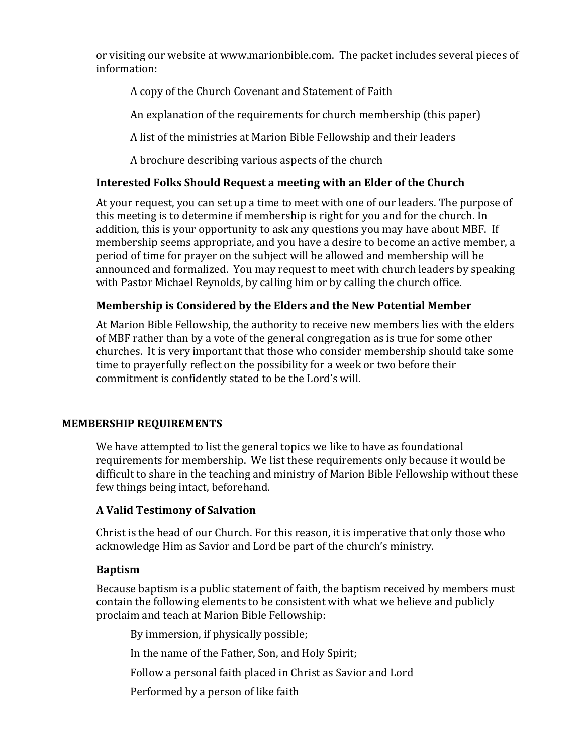or visiting our website at www.marionbible.com. The packet includes several pieces of information:

A copy of the Church Covenant and Statement of Faith

An explanation of the requirements for church membership (this paper)

A list of the ministries at Marion Bible Fellowship and their leaders

A brochure describing various aspects of the church

# **Interested)Folks)Should)Request a meeting)with)an)Elder)of)the)Church**

At your request, you can set up a time to meet with one of our leaders. The purpose of this meeting is to determine if membership is right for you and for the church. In addition, this is your opportunity to ask any questions you may have about MBF. If membership seems appropriate, and you have a desire to become an active member, a period of time for prayer on the subject will be allowed and membership will be announced and formalized. You may request to meet with church leaders by speaking with Pastor Michael Reynolds, by calling him or by calling the church office.

### **Membership)is)Considered by the Elders)and)the)New)Potential)Member**

At Marion Bible Fellowship, the authority to receive new members lies with the elders of MBF rather than by a vote of the general congregation as is true for some other churches. It is very important that those who consider membership should take some time to prayerfully reflect on the possibility for a week or two before their commitment is confidently stated to be the Lord's will.

#### **MEMBERSHIP REQUIREMENTS**

We have attempted to list the general topics we like to have as foundational requirements for membership. We list these requirements only because it would be difficult to share in the teaching and ministry of Marion Bible Fellowship without these few things being intact, beforehand.

# **A)Valid)Testimony)of)Salvation**

Christ is the head of our Church. For this reason, it is imperative that only those who acknowledge Him as Savior and Lord be part of the church's ministry.

#### **Baptism)**

Because baptism is a public statement of faith, the baptism received by members must contain the following elements to be consistent with what we believe and publicly proclaim and teach at Marion Bible Fellowship:

By immersion, if physically possible;

In the name of the Father, Son, and Holy Spirit;

Follow a personal faith placed in Christ as Savior and Lord

Performed by a person of like faith